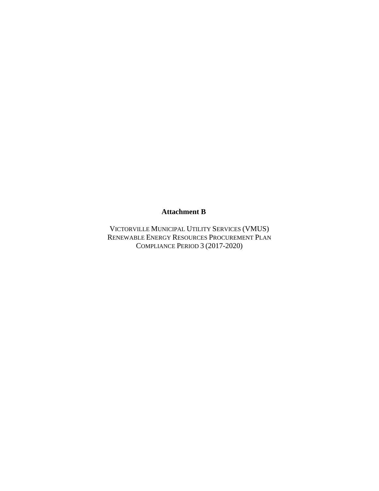#### **Attachment B**

VICTORVILLE MUNICIPAL UTILITY SERVICES (VMUS) RENEWABLE ENERGY RESOURCES PROCUREMENT PLAN COMPLIANCE PERIOD 3 (2017-2020)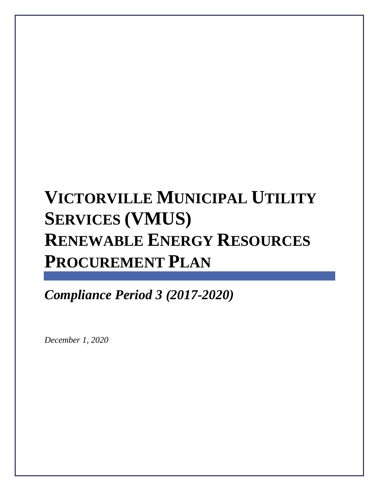# **VICTORVILLE MUNICIPAL UTILITY SERVICES (VMUS) RENEWABLE ENERGY RESOURCES PROCUREMENT PLAN**

*Compliance Period 3 (2017-2020)*

*December 1, 2020*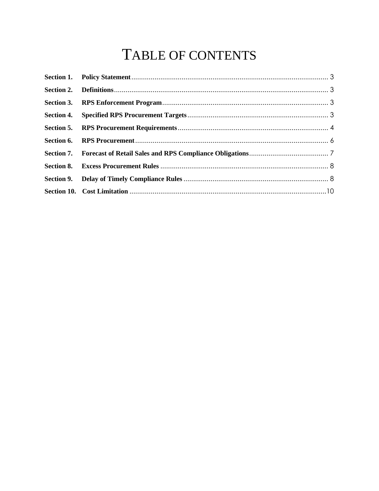## TABLE OF CONTENTS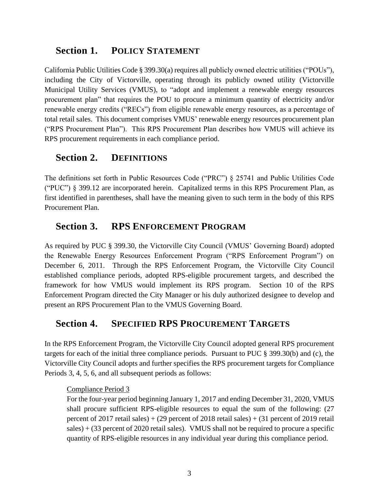## <span id="page-3-0"></span>**Section 1. POLICY STATEMENT**

California Public Utilities Code § 399.30(a) requires all publicly owned electric utilities ("POUs"), including the City of Victorville, operating through its publicly owned utility (Victorville Municipal Utility Services (VMUS), to "adopt and implement a renewable energy resources procurement plan" that requires the POU to procure a minimum quantity of electricity and/or renewable energy credits ("RECs") from eligible renewable energy resources, as a percentage of total retail sales. This document comprises VMUS' renewable energy resources procurement plan ("RPS Procurement Plan"). This RPS Procurement Plan describes how VMUS will achieve its RPS procurement requirements in each compliance period.

## <span id="page-3-1"></span>**Section 2. DEFINITIONS**

The definitions set forth in Public Resources Code ("PRC") § 25741 and Public Utilities Code ("PUC") § 399.12 are incorporated herein. Capitalized terms in this RPS Procurement Plan, as first identified in parentheses, shall have the meaning given to such term in the body of this RPS Procurement Plan.

## <span id="page-3-2"></span>**Section 3. RPS ENFORCEMENT PROGRAM**

As required by PUC § 399.30, the Victorville City Council (VMUS' Governing Board) adopted the Renewable Energy Resources Enforcement Program ("RPS Enforcement Program") on December 6, 2011. Through the RPS Enforcement Program, the Victorville City Council established compliance periods, adopted RPS-eligible procurement targets, and described the framework for how VMUS would implement its RPS program. Section 10 of the RPS Enforcement Program directed the City Manager or his duly authorized designee to develop and present an RPS Procurement Plan to the VMUS Governing Board.

## <span id="page-3-3"></span>**Section 4. SPECIFIED RPS PROCUREMENT TARGETS**

In the RPS Enforcement Program, the Victorville City Council adopted general RPS procurement targets for each of the initial three compliance periods. Pursuant to PUC § 399.30(b) and (c), the Victorville City Council adopts and further specifies the RPS procurement targets for Compliance Periods 3, 4, 5, 6, and all subsequent periods as follows:

#### Compliance Period 3

For the four-year period beginning January 1, 2017 and ending December 31, 2020, VMUS shall procure sufficient RPS-eligible resources to equal the sum of the following: (27 percent of 2017 retail sales) + (29 percent of 2018 retail sales) + (31 percent of 2019 retail sales) + (33 percent of 2020 retail sales). VMUS shall not be required to procure a specific quantity of RPS-eligible resources in any individual year during this compliance period.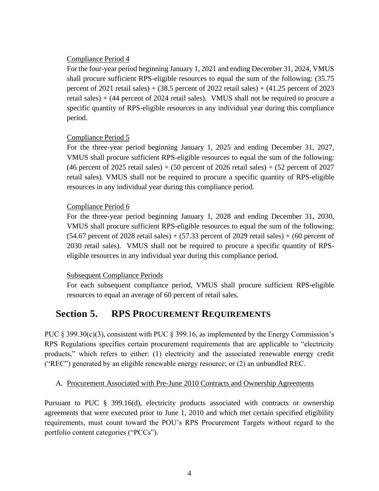#### Compliance Period 4

For the four-year period beginning January 1, 2021 and ending December 31, 2024, VMUS shall procure sufficient RPS-eligible resources to equal the sum of the following: (35.75 percent of 2021 retail sales) +  $(38.5$  percent of 2022 retail sales) +  $(41.25$  percent of 2023 retail sales) + (44 percent of 2024 retail sales). VMUS shall not be required to procure a specific quantity of RPS-eligible resources in any individual year during this compliance period.

#### Compliance Period 5

For the three-year period beginning January 1, 2025 and ending December 31, 2027, VMUS shall procure sufficient RPS-eligible resources to equal the sum of the following: (46 percent of 2025 retail sales)  $+$  (50 percent of 2026 retail sales)  $+$  (52 percent of 2027 retail sales). VMUS shall not be required to procure a specific quantity of RPS-eligible resources in any individual year during this compliance period.

#### Compliance Period 6

For the three-year period beginning January 1, 2028 and ending December 31, 2030, VMUS shall procure sufficient RPS-eligible resources to equal the sum of the following:  $(54.67)$  percent of 2028 retail sales) +  $(57.33)$  percent of 2029 retail sales) +  $(60)$  percent of 2030 retail sales). VMUS shall not be required to procure a specific quantity of RPSeligible resources in any individual year during this compliance period.

#### Subsequent Compliance Periods

For each subsequent compliance period, VMUS shall procure sufficient RPS-eligible resources to equal an average of 60 percent of retail sales.

## <span id="page-4-0"></span>**Section 5. RPS PROCUREMENT REQUIREMENTS**

PUC § 399.30(c)(3), consistent with PUC § 399.16, as implemented by the Energy Commission's RPS Regulations specifies certain procurement requirements that are applicable to "electricity products," which refers to either: (1) electricity and the associated renewable energy credit ("REC") generated by an eligible renewable energy resource; or (2) an unbundled REC.

#### A. Procurement Associated with Pre-June 2010 Contracts and Ownership Agreements

Pursuant to PUC § 399.16(d), electricity products associated with contracts or ownership agreements that were executed prior to June 1, 2010 and which met certain specified eligibility requirements, must count toward the POU's RPS Procurement Targets without regard to the portfolio content categories ("PCCs").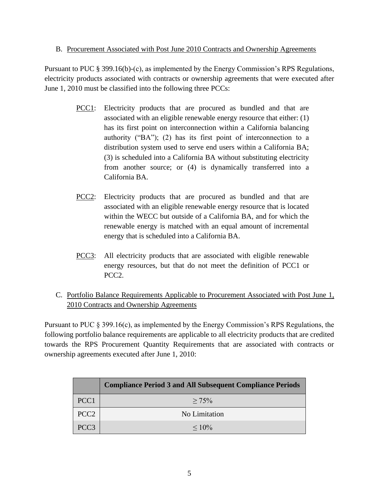#### B. Procurement Associated with Post June 2010 Contracts and Ownership Agreements

Pursuant to PUC § 399.16(b)-(c), as implemented by the Energy Commission's RPS Regulations, electricity products associated with contracts or ownership agreements that were executed after June 1, 2010 must be classified into the following three PCCs:

- PCC1: Electricity products that are procured as bundled and that are associated with an eligible renewable energy resource that either: (1) has its first point on interconnection within a California balancing authority ("BA"); (2) has its first point of interconnection to a distribution system used to serve end users within a California BA; (3) is scheduled into a California BA without substituting electricity from another source; or (4) is dynamically transferred into a California BA.
- PCC2: Electricity products that are procured as bundled and that are associated with an eligible renewable energy resource that is located within the WECC but outside of a California BA, and for which the renewable energy is matched with an equal amount of incremental energy that is scheduled into a California BA.
- PCC3: All electricity products that are associated with eligible renewable energy resources, but that do not meet the definition of PCC1 or PCC2.
- C. Portfolio Balance Requirements Applicable to Procurement Associated with Post June 1, 2010 Contracts and Ownership Agreements

Pursuant to PUC § 399.16(c), as implemented by the Energy Commission's RPS Regulations, the following portfolio balance requirements are applicable to all electricity products that are credited towards the RPS Procurement Quantity Requirements that are associated with contracts or ownership agreements executed after June 1, 2010:

|                  | <b>Compliance Period 3 and All Subsequent Compliance Periods</b> |
|------------------|------------------------------------------------------------------|
| PCC <sub>1</sub> | $> 75\%$                                                         |
| PCC <sub>2</sub> | No Limitation                                                    |
| PCC <sub>3</sub> | $\leq 10\%$                                                      |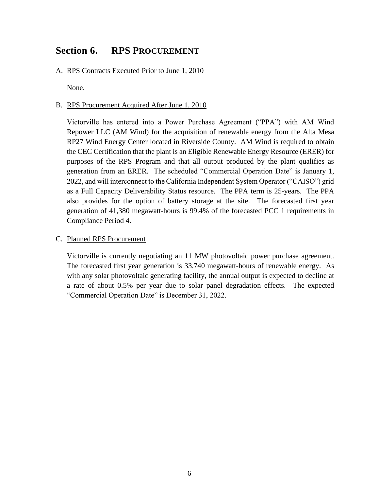## <span id="page-6-0"></span>**Section 6. RPS PROCUREMENT**

A. RPS Contracts Executed Prior to June 1, 2010

None.

#### B. RPS Procurement Acquired After June 1, 2010

Victorville has entered into a Power Purchase Agreement ("PPA") with AM Wind Repower LLC (AM Wind) for the acquisition of renewable energy from the Alta Mesa RP27 Wind Energy Center located in Riverside County. AM Wind is required to obtain the CEC Certification that the plant is an Eligible Renewable Energy Resource (ERER) for purposes of the RPS Program and that all output produced by the plant qualifies as generation from an ERER. The scheduled "Commercial Operation Date" is January 1, 2022, and will interconnect to the California Independent System Operator ("CAISO") grid as a Full Capacity Deliverability Status resource. The PPA term is 25-years. The PPA also provides for the option of battery storage at the site. The forecasted first year generation of 41,380 megawatt-hours is 99.4% of the forecasted PCC 1 requirements in Compliance Period 4.

#### C. Planned RPS Procurement

Victorville is currently negotiating an 11 MW photovoltaic power purchase agreement. The forecasted first year generation is 33,740 megawatt-hours of renewable energy. As with any solar photovoltaic generating facility, the annual output is expected to decline at a rate of about 0.5% per year due to solar panel degradation effects. The expected "Commercial Operation Date" is December 31, 2022.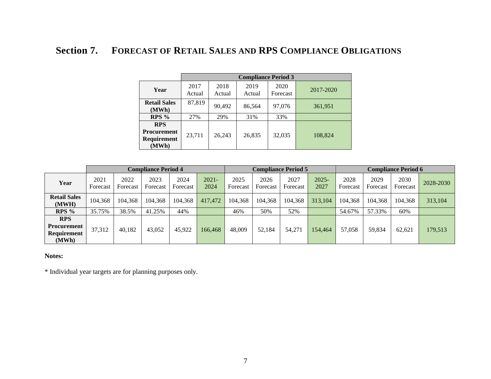## **Section 7. FORECAST OF RETAIL SALES AND RPS COMPLIANCE OBLIGATIONS**

|                                                          | <b>Compliance Period 3</b> |                |                |                  |           |  |  |  |  |
|----------------------------------------------------------|----------------------------|----------------|----------------|------------------|-----------|--|--|--|--|
| Year                                                     | 2017<br>Actual             | 2018<br>Actual | 2019<br>Actual | 2020<br>Forecast | 2017-2020 |  |  |  |  |
| <b>Retail Sales</b><br>(MWh)                             | 87,819                     | 90,492         | 86,564         | 97,076           | 361,951   |  |  |  |  |
| $RPS\%$                                                  | 27%                        | 29%            | 31%            | 33%              |           |  |  |  |  |
| <b>RPS</b><br><b>Procurement</b><br>Requirement<br>(MWh) | 23,711                     | 26,243         | 26,835         | 32,035           | 108,824   |  |  |  |  |

<span id="page-7-0"></span>

|                                                          | <b>Compliance Period 4</b> |                  |                  |                  | <b>Compliance Period 5</b> |                  |                  | <b>Compliance Period 6</b> |                  |                  |                  |                  |           |
|----------------------------------------------------------|----------------------------|------------------|------------------|------------------|----------------------------|------------------|------------------|----------------------------|------------------|------------------|------------------|------------------|-----------|
| Year                                                     | 2021<br>Forecast           | 2022<br>Forecast | 2023<br>Forecast | 2024<br>Forecast | $2021 -$<br>2024           | 2025<br>Forecast | 2026<br>Forecast | 2027<br>Forecast           | $2025 -$<br>2027 | 2028<br>Forecast | 2029<br>Forecast | 2030<br>Forecast | 2028-2030 |
| <b>Retail Sales</b><br>(MWH)                             | 104,368                    | 104,368          | 104,368          | 104,368          | 417,472                    | 104,368          | 104,368          | 104,368                    | 313,104          | 104,368          | 104,368          | 104,368          | 313,104   |
| $RPS\%$                                                  | 35.75%                     | 38.5%            | 41.25%           | 44%              |                            | 46%              | 50%              | 52%                        |                  | 54.67%           | 57.33%           | 60%              |           |
| <b>RPS</b><br><b>Procurement</b><br>Requirement<br>(MWh) | 37,312                     | 40,182           | 43.052           | 45,922           | 166.468                    | 48,009           | 52.184           | 54,271                     | 154,464          | 57,058           | 59,834           | 62.621           | 179,513   |

#### **Notes:**

\* Individual year targets are for planning purposes only.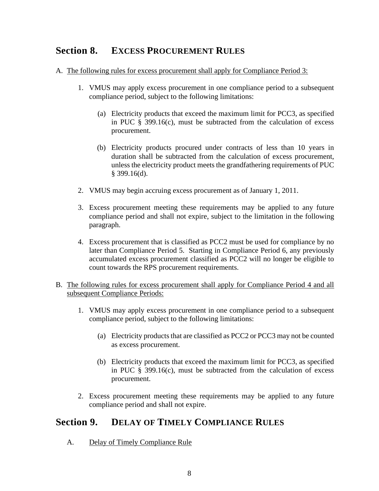## <span id="page-8-0"></span>**Section 8. EXCESS PROCUREMENT RULES**

- A. The following rules for excess procurement shall apply for Compliance Period 3:
	- 1. VMUS may apply excess procurement in one compliance period to a subsequent compliance period, subject to the following limitations:
		- (a) Electricity products that exceed the maximum limit for PCC3, as specified in PUC  $\S$  399.16(c), must be subtracted from the calculation of excess procurement.
		- (b) Electricity products procured under contracts of less than 10 years in duration shall be subtracted from the calculation of excess procurement, unless the electricity product meets the grandfathering requirements of PUC § 399.16(d).
	- 2. VMUS may begin accruing excess procurement as of January 1, 2011.
	- 3. Excess procurement meeting these requirements may be applied to any future compliance period and shall not expire, subject to the limitation in the following paragraph.
	- 4. Excess procurement that is classified as PCC2 must be used for compliance by no later than Compliance Period 5. Starting in Compliance Period 6, any previously accumulated excess procurement classified as PCC2 will no longer be eligible to count towards the RPS procurement requirements.
- B. The following rules for excess procurement shall apply for Compliance Period 4 and all subsequent Compliance Periods:
	- 1. VMUS may apply excess procurement in one compliance period to a subsequent compliance period, subject to the following limitations:
		- (a) Electricity products that are classified as PCC2 or PCC3 may not be counted as excess procurement.
		- (b) Electricity products that exceed the maximum limit for PCC3, as specified in PUC  $\S$  399.16(c), must be subtracted from the calculation of excess procurement.
	- 2. Excess procurement meeting these requirements may be applied to any future compliance period and shall not expire.

## <span id="page-8-1"></span>**Section 9. DELAY OF TIMELY COMPLIANCE RULES**

A. Delay of Timely Compliance Rule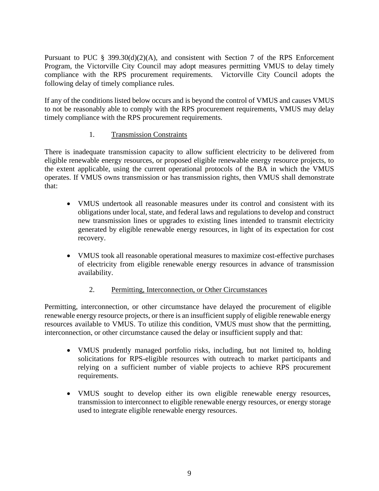Pursuant to PUC § 399.30(d)(2)(A), and consistent with Section 7 of the RPS Enforcement Program, the Victorville City Council may adopt measures permitting VMUS to delay timely compliance with the RPS procurement requirements. Victorville City Council adopts the following delay of timely compliance rules.

If any of the conditions listed below occurs and is beyond the control of VMUS and causes VMUS to not be reasonably able to comply with the RPS procurement requirements, VMUS may delay timely compliance with the RPS procurement requirements.

#### 1. Transmission Constraints

There is inadequate transmission capacity to allow sufficient electricity to be delivered from eligible renewable energy resources, or proposed eligible renewable energy resource projects, to the extent applicable, using the current operational protocols of the BA in which the VMUS operates. If VMUS owns transmission or has transmission rights, then VMUS shall demonstrate that:

- VMUS undertook all reasonable measures under its control and consistent with its obligations under local, state, and federal laws and regulations to develop and construct new transmission lines or upgrades to existing lines intended to transmit electricity generated by eligible renewable energy resources, in light of its expectation for cost recovery.
- VMUS took all reasonable operational measures to maximize cost-effective purchases of electricity from eligible renewable energy resources in advance of transmission availability.

#### 2. Permitting, Interconnection, or Other Circumstances

Permitting, interconnection, or other circumstance have delayed the procurement of eligible renewable energy resource projects, or there is an insufficient supply of eligible renewable energy resources available to VMUS. To utilize this condition, VMUS must show that the permitting, interconnection, or other circumstance caused the delay or insufficient supply and that:

- VMUS prudently managed portfolio risks, including, but not limited to, holding solicitations for RPS-eligible resources with outreach to market participants and relying on a sufficient number of viable projects to achieve RPS procurement requirements.
- VMUS sought to develop either its own eligible renewable energy resources, transmission to interconnect to eligible renewable energy resources, or energy storage used to integrate eligible renewable energy resources.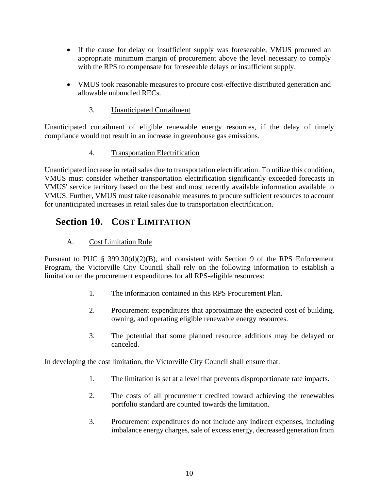- If the cause for delay or insufficient supply was foreseeable, VMUS procured an appropriate minimum margin of procurement above the level necessary to comply with the RPS to compensate for foreseeable delays or insufficient supply.
- VMUS took reasonable measures to procure cost-effective distributed generation and allowable unbundled RECs.
	- 3. Unanticipated Curtailment

Unanticipated curtailment of eligible renewable energy resources, if the delay of timely compliance would not result in an increase in greenhouse gas emissions.

#### 4. Transportation Electrification

Unanticipated increase in retail sales due to transportation electrification. To utilize this condition, VMUS must consider whether transportation electrification significantly exceeded forecasts in VMUS' service territory based on the best and most recently available information available to VMUS. Further, VMUS must take reasonable measures to procure sufficient resources to account for unanticipated increases in retail sales due to transportation electrification.

## <span id="page-10-0"></span>**Section 10. COST LIMITATION**

#### A. Cost Limitation Rule

Pursuant to PUC § 399.30(d)(2)(B), and consistent with Section 9 of the RPS Enforcement Program, the Victorville City Council shall rely on the following information to establish a limitation on the procurement expenditures for all RPS-eligible resources:

- 1. The information contained in this RPS Procurement Plan.
- 2. Procurement expenditures that approximate the expected cost of building, owning, and operating eligible renewable energy resources.
- 3. The potential that some planned resource additions may be delayed or canceled.

In developing the cost limitation, the Victorville City Council shall ensure that:

- 1. The limitation is set at a level that prevents disproportionate rate impacts.
- 2. The costs of all procurement credited toward achieving the renewables portfolio standard are counted towards the limitation.
- 3. Procurement expenditures do not include any indirect expenses, including imbalance energy charges, sale of excess energy, decreased generation from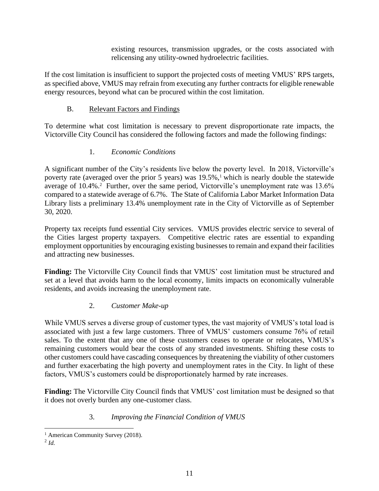existing resources, transmission upgrades, or the costs associated with relicensing any utility-owned hydroelectric facilities.

If the cost limitation is insufficient to support the projected costs of meeting VMUS' RPS targets, as specified above, VMUS may refrain from executing any further contracts for eligible renewable energy resources, beyond what can be procured within the cost limitation.

#### B. Relevant Factors and Findings

To determine what cost limitation is necessary to prevent disproportionate rate impacts, the Victorville City Council has considered the following factors and made the following findings:

#### 1. *Economic Conditions*

A significant number of the City's residents live below the poverty level. In 2018, Victorville's poverty rate (averaged over the prior 5 years) was  $19.5\%$ ,<sup>1</sup> which is nearly double the statewide average of 10.4%.<sup>2</sup> Further, over the same period, Victorville's unemployment rate was 13.6% compared to a statewide average of 6.7%. The State of California Labor Market Information Data Library lists a preliminary 13.4% unemployment rate in the City of Victorville as of September 30, 2020.

Property tax receipts fund essential City services. VMUS provides electric service to several of the Cities largest property taxpayers. Competitive electric rates are essential to expanding employment opportunities by encouraging existing businesses to remain and expand their facilities and attracting new businesses.

Finding: The Victorville City Council finds that VMUS' cost limitation must be structured and set at a level that avoids harm to the local economy, limits impacts on economically vulnerable residents, and avoids increasing the unemployment rate.

#### 2. *Customer Make-up*

While VMUS serves a diverse group of customer types, the vast majority of VMUS's total load is associated with just a few large customers. Three of VMUS' customers consume 76% of retail sales. To the extent that any one of these customers ceases to operate or relocates, VMUS's remaining customers would bear the costs of any stranded investments. Shifting these costs to other customers could have cascading consequences by threatening the viability of other customers and further exacerbating the high poverty and unemployment rates in the City. In light of these factors, VMUS's customers could be disproportionately harmed by rate increases.

**Finding:** The Victorville City Council finds that VMUS' cost limitation must be designed so that it does not overly burden any one-customer class.

#### 3. *Improving the Financial Condition of VMUS*

<sup>&</sup>lt;sup>1</sup> American Community Survey (2018).

<sup>2</sup> *Id.*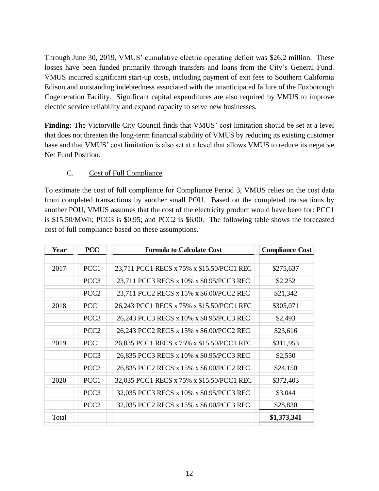Through June 30, 2019, VMUS' cumulative electric operating deficit was \$26.2 million. These losses have been funded primarily through transfers and loans from the City's General Fund. VMUS incurred significant start-up costs, including payment of exit fees to Southern California Edison and outstanding indebtedness associated with the unanticipated failure of the Foxborough Cogeneration Facility. Significant capital expenditures are also required by VMUS to improve electric service reliability and expand capacity to serve new businesses.

**Finding:** The Victorville City Council finds that VMUS' cost limitation should be set at a level that does not threaten the long-term financial stability of VMUS by reducing its existing customer base and that VMUS' cost limitation is also set at a level that allows VMUS to reduce its negative Net Fund Position.

#### C. Cost of Full Compliance

To estimate the cost of full compliance for Compliance Period 3, VMUS relies on the cost data from completed transactions by another small POU. Based on the completed transactions by another POU, VMUS assumes that the cost of the electricity product would have been for: PCC1 is \$15.50/MWh; PCC3 is \$0.95; and PCC2 is \$6.00. The following table shows the forecasted cost of full compliance based on these assumptions.

| Year  | <b>PCC</b>       | <b>Formula to Calculate Cost</b>          | <b>Compliance Cost</b> |
|-------|------------------|-------------------------------------------|------------------------|
|       |                  |                                           |                        |
| 2017  | PCC1             | 23,711 PCC1 RECS x 75% x \$15.50/PCC1 REC | \$275,637              |
|       | PCC <sub>3</sub> | 23,711 PCC3 RECS x 10% x \$0.95/PCC3 REC  | \$2,252                |
|       | PCC <sub>2</sub> | 23,711 PCC2 RECS x 15% x \$6.00/PCC2 REC  | \$21,342               |
| 2018  | PCC1             | 26,243 PCC1 RECS x 75% x \$15.50/PCC1 REC | \$305,071              |
|       | PCC <sub>3</sub> | 26,243 PCC3 RECS x 10% x \$0.95/PCC3 REC  | \$2,493                |
|       | PCC <sub>2</sub> | 26,243 PCC2 RECS x 15% x \$6.00/PCC2 REC  | \$23,616               |
| 2019  | PCC1             | 26,835 PCC1 RECS x 75% x \$15.50/PCC1 REC | \$311,953              |
|       | PCC <sub>3</sub> | 26,835 PCC3 RECS x 10% x \$0.95/PCC3 REC  | \$2,550                |
|       | PCC <sub>2</sub> | 26,835 PCC2 RECS x 15% x \$6.00/PCC2 REC  | \$24,150               |
| 2020  | PCC <sub>1</sub> | 32,035 PCC1 RECS x 75% x \$15.50/PCC1 REC | \$372,403              |
|       | PCC <sub>3</sub> | 32,035 PCC3 RECS x 10% x \$0.95/PCC3 REC  | \$3,044                |
|       | PCC <sub>2</sub> | 32,035 PCC2 RECS x 15% x \$6.00/PCC3 REC  | \$28,830               |
| Total |                  |                                           | \$1,373,341            |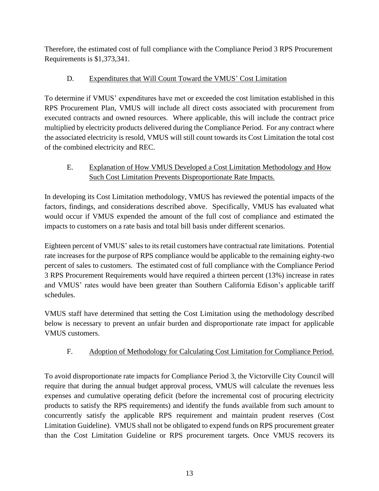Therefore, the estimated cost of full compliance with the Compliance Period 3 RPS Procurement Requirements is \$1,373,341.

#### D. Expenditures that Will Count Toward the VMUS' Cost Limitation

To determine if VMUS' expenditures have met or exceeded the cost limitation established in this RPS Procurement Plan, VMUS will include all direct costs associated with procurement from executed contracts and owned resources. Where applicable, this will include the contract price multiplied by electricity products delivered during the Compliance Period. For any contract where the associated electricity is resold, VMUS will still count towards its Cost Limitation the total cost of the combined electricity and REC.

#### E. Explanation of How VMUS Developed a Cost Limitation Methodology and How Such Cost Limitation Prevents Disproportionate Rate Impacts.

In developing its Cost Limitation methodology, VMUS has reviewed the potential impacts of the factors, findings, and considerations described above. Specifically, VMUS has evaluated what would occur if VMUS expended the amount of the full cost of compliance and estimated the impacts to customers on a rate basis and total bill basis under different scenarios.

Eighteen percent of VMUS' sales to its retail customers have contractual rate limitations. Potential rate increases for the purpose of RPS compliance would be applicable to the remaining eighty-two percent of sales to customers. The estimated cost of full compliance with the Compliance Period 3 RPS Procurement Requirements would have required a thirteen percent (13%) increase in rates and VMUS' rates would have been greater than Southern California Edison's applicable tariff schedules.

VMUS staff have determined that setting the Cost Limitation using the methodology described below is necessary to prevent an unfair burden and disproportionate rate impact for applicable VMUS customers.

#### F. Adoption of Methodology for Calculating Cost Limitation for Compliance Period.

To avoid disproportionate rate impacts for Compliance Period 3, the Victorville City Council will require that during the annual budget approval process, VMUS will calculate the revenues less expenses and cumulative operating deficit (before the incremental cost of procuring electricity products to satisfy the RPS requirements) and identify the funds available from such amount to concurrently satisfy the applicable RPS requirement and maintain prudent reserves (Cost Limitation Guideline). VMUS shall not be obligated to expend funds on RPS procurement greater than the Cost Limitation Guideline or RPS procurement targets. Once VMUS recovers its